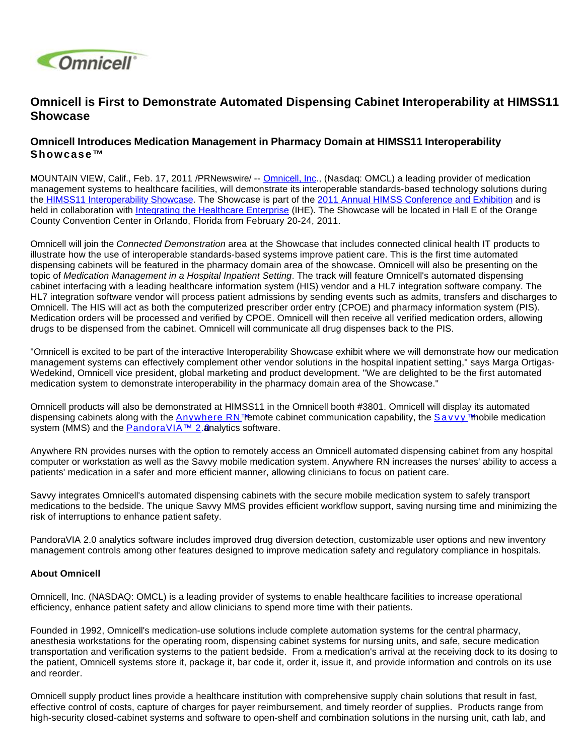

## **Omnicell is First to Demonstrate Automated Dispensing Cabinet Interoperability at HIMSS11 Showcase**

## **Omnicell Introduces Medication Management in Pharmacy Domain at HIMSS11 Interoperability Showcase™**

MOUNTAIN VIEW, Calif., Feb. 17, 2011 /PRNewswire/ -- [Omnicell, Inc.](http://www.omnicell.com/), (Nasdaq: OMCL) a leading provider of medication management systems to healthcare facilities, will demonstrate its interoperable standards-based technology solutions during the [HIMSS11 Interoperability Showcase.](http://www.himssconference.org/exhibition/interop.aspx) The Showcase is part of the [2011 Annual HIMSS Conference and Exhibition](http://www.himssconference.org/) and is held in collaboration with [Integrating the Healthcare Enterprise](http://www.ihe.net/) (IHE). The Showcase will be located in Hall E of the Orange County Convention Center in Orlando, Florida from February 20-24, 2011.

Omnicell will join the Connected Demonstration area at the Showcase that includes connected clinical health IT products to illustrate how the use of interoperable standards-based systems improve patient care. This is the first time automated dispensing cabinets will be featured in the pharmacy domain area of the showcase. Omnicell will also be presenting on the topic of Medication Management in a Hospital Inpatient Setting. The track will feature Omnicell's automated dispensing cabinet interfacing with a leading healthcare information system (HIS) vendor and a HL7 integration software company. The HL7 integration software vendor will process patient admissions by sending events such as admits, transfers and discharges to Omnicell. The HIS will act as both the computerized prescriber order entry (CPOE) and pharmacy information system (PIS). Medication orders will be processed and verified by CPOE. Omnicell will then receive all verified medication orders, allowing drugs to be dispensed from the cabinet. Omnicell will communicate all drug dispenses back to the PIS.

"Omnicell is excited to be part of the interactive Interoperability Showcase exhibit where we will demonstrate how our medication management systems can effectively complement other vendor solutions in the hospital inpatient setting," says Marga Ortigas-Wedekind, Omnicell vice president, global marketing and product development. "We are delighted to be the first automated medication system to demonstrate interoperability in the pharmacy domain area of the Showcase."

Omnicell products will also be demonstrated at HIMSS11 in the Omnicell booth #3801. Omnicell will display its automated dispensing cabinets along with the [Anywhere RN™](http://www.omnicell.com/Solutions/Medication-Dispensing/Pages/AnywhereRN.aspx) emote cabinet communication capability, the [Savvy™](http://www.omnicell.com/Solutions/Medication-Dispensing/Pages/Savvy.aspx) mobile medication system(MMS) and the **PandoraVIA<sup>TM</sup>** 2. analytics software.

Anywhere RN provides nurses with the option to remotely access an Omnicell automated dispensing cabinet from any hospital computer or workstation as well as the Savvy mobile medication system. Anywhere RN increases the nurses' ability to access a patients' medication in a safer and more efficient manner, allowing clinicians to focus on patient care.

Savvy integrates Omnicell's automated dispensing cabinets with the secure mobile medication system to safely transport medications to the bedside. The unique Savvy MMS provides efficient workflow support, saving nursing time and minimizing the risk of interruptions to enhance patient safety.

PandoraVIA 2.0 analytics software includes improved drug diversion detection, customizable user options and new inventory management controls among other features designed to improve medication safety and regulatory compliance in hospitals.

## **About Omnicell**

Omnicell, Inc. (NASDAQ: OMCL) is a leading provider of systems to enable healthcare facilities to increase operational efficiency, enhance patient safety and allow clinicians to spend more time with their patients.

Founded in 1992, Omnicell's medication-use solutions include complete automation systems for the central pharmacy, anesthesia workstations for the operating room, dispensing cabinet systems for nursing units, and safe, secure medication transportation and verification systems to the patient bedside. From a medication's arrival at the receiving dock to its dosing to the patient, Omnicell systems store it, package it, bar code it, order it, issue it, and provide information and controls on its use and reorder.

Omnicell supply product lines provide a healthcare institution with comprehensive supply chain solutions that result in fast, effective control of costs, capture of charges for payer reimbursement, and timely reorder of supplies. Products range from high-security closed-cabinet systems and software to open-shelf and combination solutions in the nursing unit, cath lab, and